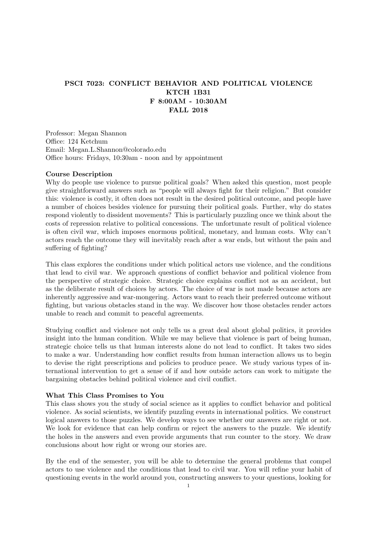## PSCI 7023: CONFLICT BEHAVIOR AND POLITICAL VIOLENCE KTCH 1B31 F 8:00AM - 10:30AM FALL 2018

Professor: Megan Shannon Office: 124 Ketchum Email: Megan.L.Shannon@colorado.edu Office hours: Fridays, 10:30am - noon and by appointment

#### Course Description

Why do people use violence to pursue political goals? When asked this question, most people give straightforward answers such as "people will always fight for their religion." But consider this: violence is costly, it often does not result in the desired political outcome, and people have a number of choices besides violence for pursuing their political goals. Further, why do states respond violently to dissident movements? This is particularly puzzling once we think about the costs of repression relative to political concessions. The unfortunate result of political violence is often civil war, which imposes enormous political, monetary, and human costs. Why can't actors reach the outcome they will inevitably reach after a war ends, but without the pain and suffering of fighting?

This class explores the conditions under which political actors use violence, and the conditions that lead to civil war. We approach questions of conflict behavior and political violence from the perspective of strategic choice. Strategic choice explains conflict not as an accident, but as the deliberate result of choices by actors. The choice of war is not made because actors are inherently aggressive and war-mongering. Actors want to reach their preferred outcome without fighting, but various obstacles stand in the way. We discover how those obstacles render actors unable to reach and commit to peaceful agreements.

Studying conflict and violence not only tells us a great deal about global politics, it provides insight into the human condition. While we may believe that violence is part of being human, strategic choice tells us that human interests alone do not lead to conflict. It takes two sides to make a war. Understanding how conflict results from human interaction allows us to begin to devise the right prescriptions and policies to produce peace. We study various types of international intervention to get a sense of if and how outside actors can work to mitigate the bargaining obstacles behind political violence and civil conflict.

#### What This Class Promises to You

This class shows you the study of social science as it applies to conflict behavior and political violence. As social scientists, we identify puzzling events in international politics. We construct logical answers to those puzzles. We develop ways to see whether our answers are right or not. We look for evidence that can help confirm or reject the answers to the puzzle. We identify the holes in the answers and even provide arguments that run counter to the story. We draw conclusions about how right or wrong our stories are.

By the end of the semester, you will be able to determine the general problems that compel actors to use violence and the conditions that lead to civil war. You will refine your habit of questioning events in the world around you, constructing answers to your questions, looking for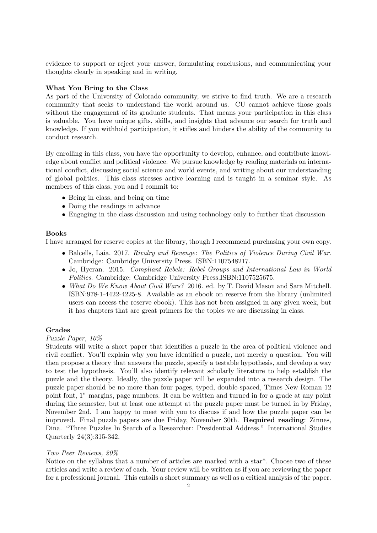evidence to support or reject your answer, formulating conclusions, and communicating your thoughts clearly in speaking and in writing.

## What You Bring to the Class

As part of the University of Colorado community, we strive to find truth. We are a research community that seeks to understand the world around us. CU cannot achieve those goals without the engagement of its graduate students. That means your participation in this class is valuable. You have unique gifts, skills, and insights that advance our search for truth and knowledge. If you withhold participation, it stifles and hinders the ability of the community to conduct research.

By enrolling in this class, you have the opportunity to develop, enhance, and contribute knowledge about conflict and political violence. We pursue knowledge by reading materials on international conflict, discussing social science and world events, and writing about our understanding of global politics. This class stresses active learning and is taught in a seminar style. As members of this class, you and I commit to:

- Being in class, and being on time
- Doing the readings in advance
- Engaging in the class discussion and using technology only to further that discussion

## Books

I have arranged for reserve copies at the library, though I recommend purchasing your own copy.

- Balcells, Laia. 2017. Rivalry and Revenge: The Politics of Violence During Civil War. Cambridge: Cambridge University Press. ISBN:1107548217.
- Jo, Hyeran. 2015. Compliant Rebels: Rebel Groups and International Law in World Politics. Cambridge: Cambridge University Press.ISBN:1107525675.
- What Do We Know About Civil Wars? 2016. ed. by T. David Mason and Sara Mitchell. ISBN:978-1-4422-4225-8. Available as an ebook on reserve from the library (unlimited users can access the reserve ebook). This has not been assigned in any given week, but it has chapters that are great primers for the topics we are discussing in class.

## Grades

## Puzzle Paper, 10%

Students will write a short paper that identifies a puzzle in the area of political violence and civil conflict. You'll explain why you have identified a puzzle, not merely a question. You will then propose a theory that answers the puzzle, specify a testable hypothesis, and develop a way to test the hypothesis. You'll also identify relevant scholarly literature to help establish the puzzle and the theory. Ideally, the puzzle paper will be expanded into a research design. The puzzle paper should be no more than four pages, typed, double-spaced, Times New Roman 12 point font, 1" margins, page numbers. It can be written and turned in for a grade at any point during the semester, but at least one attempt at the puzzle paper must be turned in by Friday, November 2nd. I am happy to meet with you to discuss if and how the puzzle paper can be improved. Final puzzle papers are due Friday, November 30th. Required reading: Zinnes, Dina. "Three Puzzles In Search of a Researcher: Presidential Address." International Studies Quarterly 24(3):315-342.

#### Two Peer Reviews, 20%

Notice on the syllabus that a number of articles are marked with a star\*. Choose two of these articles and write a review of each. Your review will be written as if you are reviewing the paper for a professional journal. This entails a short summary as well as a critical analysis of the paper.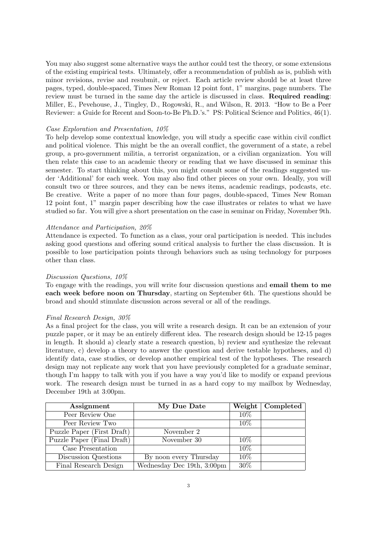You may also suggest some alternative ways the author could test the theory, or some extensions of the existing empirical tests. Ultimately, offer a recommendation of publish as is, publish with minor revisions, revise and resubmit, or reject. Each article review should be at least three pages, typed, double-spaced, Times New Roman 12 point font, 1" margins, page numbers. The review must be turned in the same day the article is discussed in class. Required reading: Miller, E., Pevehouse, J., Tingley, D., Rogowski, R., and Wilson, R. 2013. "How to Be a Peer Reviewer: a Guide for Recent and Soon-to-Be Ph.D.'s." PS: Political Science and Politics, 46(1).

#### Case Exploration and Presentation, 10%

To help develop some contextual knowledge, you will study a specific case within civil conflict and political violence. This might be the an overall conflict, the government of a state, a rebel group, a pro-government militia, a terrorist organization, or a civilian organization. You will then relate this case to an academic theory or reading that we have discussed in seminar this semester. To start thinking about this, you might consult some of the readings suggested under 'Additional' for each week. You may also find other pieces on your own. Ideally, you will consult two or three sources, and they can be news items, academic readings, podcasts, etc. Be creative. Write a paper of no more than four pages, double-spaced, Times New Roman 12 point font, 1" margin paper describing how the case illustrates or relates to what we have studied so far. You will give a short presentation on the case in seminar on Friday, November 9th.

#### Attendance and Participation, 20%

Attendance is expected. To function as a class, your oral participation is needed. This includes asking good questions and offering sound critical analysis to further the class discussion. It is possible to lose participation points through behaviors such as using technology for purposes other than class.

#### Discussion Questions, 10%

To engage with the readings, you will write four discussion questions and email them to me each week before noon on Thursday, starting on September 6th. The questions should be broad and should stimulate discussion across several or all of the readings.

#### Final Research Design, 30%

As a final project for the class, you will write a research design. It can be an extension of your puzzle paper, or it may be an entirely different idea. The research design should be 12-15 pages in length. It should a) clearly state a research question, b) review and synthesize the relevant literature, c) develop a theory to answer the question and derive testable hypotheses, and d) identify data, case studies, or develop another empirical test of the hypotheses. The research design may not replicate any work that you have previously completed for a graduate seminar, though I'm happy to talk with you if you have a way you'd like to modify or expand previous work. The research design must be turned in as a hard copy to my mailbox by Wednesday, December 19th at 3:00pm.

| Assignment                               | My Due Date                | Weight | Completed |
|------------------------------------------|----------------------------|--------|-----------|
| Peer Review One                          |                            | $10\%$ |           |
| Peer Review Two                          |                            | 10\%   |           |
| Puzzle Paper (First Draft)               | November 2                 |        |           |
| Puzzle Paper (Final $\overline{Drath}$ ) | November 30                | $10\%$ |           |
| Case Presentation                        |                            | 10%    |           |
| Discussion Questions                     | By noon every Thursday     | $10\%$ |           |
| Final Research Design                    | Wednesday Dec 19th, 3:00pm | 30\%   |           |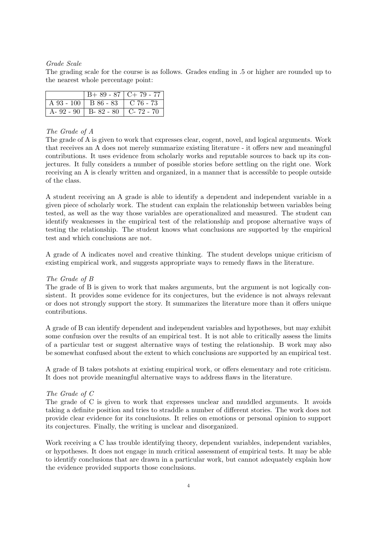#### Grade Scale

The grading scale for the course is as follows. Grades ending in .5 or higher are rounded up to the nearest whole percentage point:

| $B+89-87$ C+ 79 - 77               |                   |
|------------------------------------|-------------------|
| A 93 - 100   B 86 - 83   C 76 - 73 |                   |
| A- 92 - 90   B- 82 - 80            | $\mid$ C- 72 - 70 |

## The Grade of A

The grade of A is given to work that expresses clear, cogent, novel, and logical arguments. Work that receives an A does not merely summarize existing literature - it offers new and meaningful contributions. It uses evidence from scholarly works and reputable sources to back up its conjectures. It fully considers a number of possible stories before settling on the right one. Work receiving an A is clearly written and organized, in a manner that is accessible to people outside of the class.

A student receiving an A grade is able to identify a dependent and independent variable in a given piece of scholarly work. The student can explain the relationship between variables being tested, as well as the way those variables are operationalized and measured. The student can identify weaknesses in the empirical test of the relationship and propose alternative ways of testing the relationship. The student knows what conclusions are supported by the empirical test and which conclusions are not.

A grade of A indicates novel and creative thinking. The student develops unique criticism of existing empirical work, and suggests appropriate ways to remedy flaws in the literature.

#### The Grade of B

The grade of B is given to work that makes arguments, but the argument is not logically consistent. It provides some evidence for its conjectures, but the evidence is not always relevant or does not strongly support the story. It summarizes the literature more than it offers unique contributions.

A grade of B can identify dependent and independent variables and hypotheses, but may exhibit some confusion over the results of an empirical test. It is not able to critically assess the limits of a particular test or suggest alternative ways of testing the relationship. B work may also be somewhat confused about the extent to which conclusions are supported by an empirical test.

A grade of B takes potshots at existing empirical work, or offers elementary and rote criticism. It does not provide meaningful alternative ways to address flaws in the literature.

#### The Grade of C

The grade of C is given to work that expresses unclear and muddled arguments. It avoids taking a definite position and tries to straddle a number of different stories. The work does not provide clear evidence for its conclusions. It relies on emotions or personal opinion to support its conjectures. Finally, the writing is unclear and disorganized.

Work receiving a C has trouble identifying theory, dependent variables, independent variables, or hypotheses. It does not engage in much critical assessment of empirical tests. It may be able to identify conclusions that are drawn in a particular work, but cannot adequately explain how the evidence provided supports those conclusions.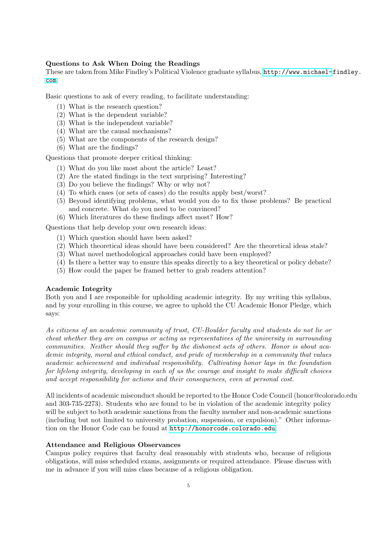### Questions to Ask When Doing the Readings

These are taken from Mike Findley's Political Violence graduate syllabus, [http://www.michael-](http://www.michael-findley.com)findley. [com](http://www.michael-findley.com)

Basic questions to ask of every reading, to facilitate understanding:

- (1) What is the research question?
- (2) What is the dependent variable?
- (3) What is the independent variable?
- (4) What are the causal mechanisms?
- (5) What are the components of the research design?
- (6) What are the findings?

Questions that promote deeper critical thinking:

- (1) What do you like most about the article? Least?
- (2) Are the stated findings in the text surprising? Interesting?
- (3) Do you believe the findings? Why or why not?
- (4) To which cases (or sets of cases) do the results apply best/worst?
- (5) Beyond identifying problems, what would you do to fix those problems? Be practical and concrete. What do you need to be convinced?
- (6) Which literatures do these findings affect most? How?

Questions that help develop your own research ideas:

- (1) Which question should have been asked?
- (2) Which theoretical ideas should have been considered? Are the theoretical ideas stale?
- (3) What novel methodological approaches could have been employed?
- (4) Is there a better way to ensure this speaks directly to a key theoretical or policy debate?
- (5) How could the paper be framed better to grab readers attention?

## Academic Integrity

Both you and I are responsible for upholding academic integrity. By my writing this syllabus, and by your enrolling in this course, we agree to uphold the CU Academic Honor Pledge, which says:

As citizens of an academic community of trust, CU-Boulder faculty and students do not lie or cheat whether they are on campus or acting as representatives of the university in surrounding communities. Neither should they suffer by the dishonest acts of others. Honor is about academic integrity, moral and ethical conduct, and pride of membership in a community that values academic achievement and individual responsibility. Cultivating honor lays in the foundation for lifelong integrity, developing in each of us the courage and insight to make difficult choices and accept responsibility for actions and their consequences, even at personal cost.

All incidents of academic misconduct should be reported to the Honor Code Council (honor@colorado.edu and 303-735-2273). Students who are found to be in violation of the academic integrity policy will be subject to both academic sanctions from the faculty member and non-academic sanctions (including but not limited to university probation, suspension, or expulsion)." Other information on the Honor Code can be found at <http://honorcode.colorado.edu>.

#### Attendance and Religious Observances

Campus policy requires that faculty deal reasonably with students who, because of religious obligations, will miss scheduled exams, assignments or required attendance. Please discuss with me in advance if you will miss class because of a religious obligation.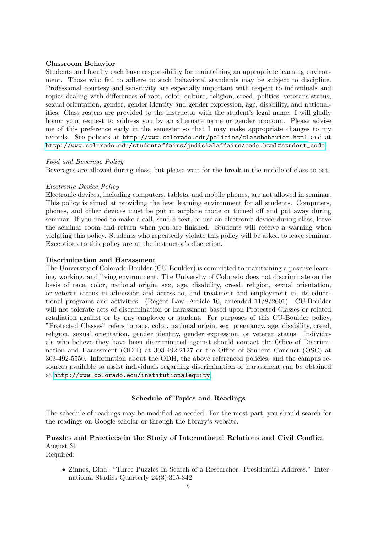#### Classroom Behavior

Students and faculty each have responsibility for maintaining an appropriate learning environment. Those who fail to adhere to such behavioral standards may be subject to discipline. Professional courtesy and sensitivity are especially important with respect to individuals and topics dealing with differences of race, color, culture, religion, creed, politics, veterans status, sexual orientation, gender, gender identity and gender expression, age, disability, and nationalities. Class rosters are provided to the instructor with the student's legal name. I will gladly honor your request to address you by an alternate name or gender pronoun. Please advise me of this preference early in the semester so that I may make appropriate changes to my records. See policies at <http://www.colorado.edu/policies/classbehavior.html> and at [http://www.colorado.edu/studentaffairs/judicialaffairs/code.html#student\\_code](http://www.colorado.edu/studentaffairs/judicialaffairs/code.html#student_code).

#### Food and Beverage Policy

Beverages are allowed during class, but please wait for the break in the middle of class to eat.

#### Electronic Device Policy

Electronic devices, including computers, tablets, and mobile phones, are not allowed in seminar. This policy is aimed at providing the best learning environment for all students. Computers, phones, and other devices must be put in airplane mode or turned off and put away during seminar. If you need to make a call, send a text, or use an electronic device during class, leave the seminar room and return when you are finished. Students will receive a warning when violating this policy. Students who repeatedly violate this policy will be asked to leave seminar. Exceptions to this policy are at the instructor's discretion.

#### Discrimination and Harassment

The University of Colorado Boulder (CU-Boulder) is committed to maintaining a positive learning, working, and living environment. The University of Colorado does not discriminate on the basis of race, color, national origin, sex, age, disability, creed, religion, sexual orientation, or veteran status in admission and access to, and treatment and employment in, its educational programs and activities. (Regent Law, Article 10, amended 11/8/2001). CU-Boulder will not tolerate acts of discrimination or harassment based upon Protected Classes or related retaliation against or by any employee or student. For purposes of this CU-Boulder policy, "Protected Classes" refers to race, color, national origin, sex, pregnancy, age, disability, creed, religion, sexual orientation, gender identity, gender expression, or veteran status. Individuals who believe they have been discriminated against should contact the Office of Discrimination and Harassment (ODH) at 303-492-2127 or the Office of Student Conduct (OSC) at 303-492-5550. Information about the ODH, the above referenced policies, and the campus resources available to assist individuals regarding discrimination or harassment can be obtained at <http://www.colorado.edu/institutionalequity>.

#### Schedule of Topics and Readings

The schedule of readings may be modified as needed. For the most part, you should search for the readings on Google scholar or through the library's website.

## Puzzles and Practices in the Study of International Relations and Civil Conflict August 31 Required:

• Zinnes, Dina. "Three Puzzles In Search of a Researcher: Presidential Address." International Studies Quarterly 24(3):315-342.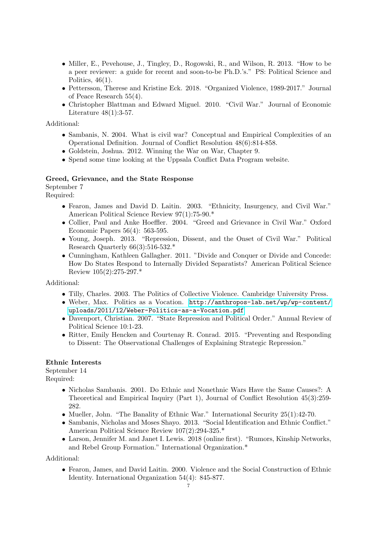- Miller, E., Pevehouse, J., Tingley, D., Rogowski, R., and Wilson, R. 2013. "How to be a peer reviewer: a guide for recent and soon-to-be Ph.D.'s." PS: Political Science and Politics,  $46(1)$ .
- Pettersson, Therese and Kristine Eck. 2018. "Organized Violence, 1989-2017." Journal of Peace Research 55(4).
- Christopher Blattman and Edward Miguel. 2010. "Civil War." Journal of Economic Literature 48(1):3-57.

## Additional:

- Sambanis, N. 2004. What is civil war? Conceptual and Empirical Complexities of an Operational Definition. Journal of Conflict Resolution 48(6):814-858.
- Goldstein, Joshua. 2012. Winning the War on War, Chapter 9.
- Spend some time looking at the Uppsala Conflict Data Program website.

## Greed, Grievance, and the State Response

September 7

Required:

- Fearon, James and David D. Laitin. 2003. "Ethnicity, Insurgency, and Civil War." American Political Science Review 97(1):75-90.\*
- Collier, Paul and Anke Hoeffler. 2004. "Greed and Grievance in Civil War." Oxford Economic Papers 56(4): 563-595.
- Young, Joseph. 2013. "Repression, Dissent, and the Onset of Civil War." Political Research Quarterly  $66(3):516-532.*$
- Cunningham, Kathleen Gallagher. 2011. "Divide and Conquer or Divide and Concede: How Do States Respond to Internally Divided Separatists? American Political Science Review 105(2):275-297.\*

Additional:

- Tilly, Charles. 2003. The Politics of Collective Violence. Cambridge University Press.
- Weber, Max. Politics as a Vocation. [http://anthropos-lab.net/wp/wp-content/](http://anthropos-lab.net/wp/wp-content/uploads/2011/12/Weber-Politics-as-a-Vocation.pdf) [uploads/2011/12/Weber-Politics-as-a-Vocation.pdf](http://anthropos-lab.net/wp/wp-content/uploads/2011/12/Weber-Politics-as-a-Vocation.pdf)
- Davenport, Christian. 2007. "State Repression and Political Order." Annual Review of Political Science 10:1-23.
- Ritter, Emily Hencken and Courtenay R. Conrad. 2015. "Preventing and Responding to Dissent: The Observational Challenges of Explaining Strategic Repression."

## Ethnic Interests

September 14 Required:

- Nicholas Sambanis. 2001. Do Ethnic and Nonethnic Wars Have the Same Causes?: A Theoretical and Empirical Inquiry (Part 1), Journal of Conflict Resolution 45(3):259- 282.
- Mueller, John. "The Banality of Ethnic War." International Security 25(1):42-70.
- Sambanis, Nicholas and Moses Shayo. 2013. "Social Identification and Ethnic Conflict." American Political Science Review 107(2):294-325.\*
- Larson, Jennifer M. and Janet I. Lewis. 2018 (online first). "Rumors, Kinship Networks, and Rebel Group Formation." International Organization.\*

Additional:

• Fearon, James, and David Laitin. 2000. Violence and the Social Construction of Ethnic Identity. International Organization 54(4): 845-877.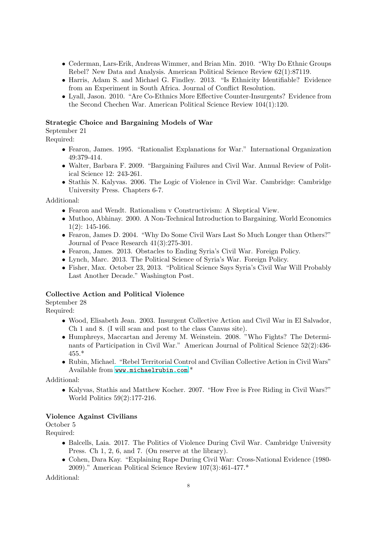- Cederman, Lars-Erik, Andreas Wimmer, and Brian Min. 2010. "Why Do Ethnic Groups Rebel? New Data and Analysis. American Political Science Review 62(1):87119.
- Harris, Adam S. and Michael G. Findley. 2013. "Is Ethnicity Identifiable? Evidence from an Experiment in South Africa. Journal of Conflict Resolution.
- Lyall, Jason. 2010. "Are Co-Ethnics More Effective Counter-Insurgents? Evidence from the Second Chechen War. American Political Science Review 104(1):120.

## Strategic Choice and Bargaining Models of War

September 21

Required:

- Fearon, James. 1995. "Rationalist Explanations for War." International Organization 49:379-414.
- Walter, Barbara F. 2009. "Bargaining Failures and Civil War. Annual Review of Political Science 12: 243-261.
- Stathis N. Kalyvas. 2006. The Logic of Violence in Civil War. Cambridge: Cambridge University Press. Chapters 6-7.

Additional:

- Fearon and Wendt. Rationalism v Constructivism: A Skeptical View.
- Muthoo, Abhinay. 2000. A Non-Technical Introduction to Bargaining. World Economics 1(2): 145-166.
- Fearon, James D. 2004. "Why Do Some Civil Wars Last So Much Longer than Others?" Journal of Peace Research 41(3):275-301.
- Fearon, James. 2013. Obstacles to Ending Syria's Civil War. Foreign Policy.
- Lynch, Marc. 2013. The Political Science of Syria's War. Foreign Policy.
- Fisher, Max. October 23, 2013. "Political Science Says Syria's Civil War Will Probably Last Another Decade." Washington Post.

## Collective Action and Political Violence

September 28

Required:

- Wood, Elisabeth Jean. 2003. Insurgent Collective Action and Civil War in El Salvador, Ch 1 and 8. (I will scan and post to the class Canvas site).
- Humphreys, Maccartan and Jeremy M. Weinstein. 2008. "Who Fights? The Determinants of Participation in Civil War." American Journal of Political Science 52(2):436-  $455.*$
- Rubin, Michael. "Rebel Territorial Control and Civilian Collective Action in Civil Wars" Available from <www.michaelrubin.com>.\*

Additional:

• Kalyvas, Stathis and Matthew Kocher. 2007. "How Free is Free Riding in Civil Wars?" World Politics 59(2):177-216.

## Violence Against Civilians

October 5

Required:

- Balcells, Laia. 2017. The Politics of Violence During Civil War. Cambridge University Press. Ch 1, 2, 6, and 7. (On reserve at the library).
- Cohen, Dara Kay. "Explaining Rape During Civil War: Cross-National Evidence (1980- 2009)." American Political Science Review 107(3):461-477.\*

Additional: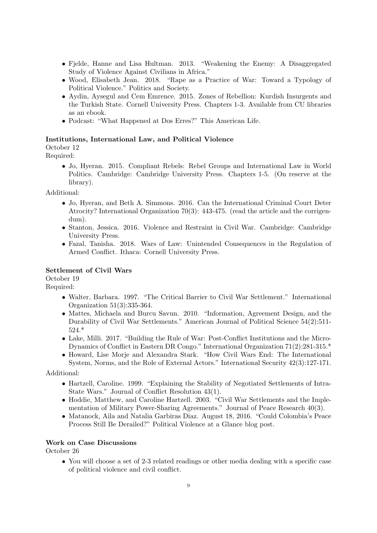- Fjelde, Hanne and Lisa Hultman. 2013. "Weakening the Enemy: A Disaggregated Study of Violence Against Civilians in Africa."
- Wood, Elisabeth Jean. 2018. "Rape as a Practice of War: Toward a Typology of Political Violence." Politics and Society.
- Aydin, Aysegul and Cem Emrence. 2015. Zones of Rebellion: Kurdish Insurgents and the Turkish State. Cornell University Press. Chapters 1-3. Available from CU libraries as an ebook.
- Podcast: "What Happened at Dos Erres?" This American Life.

## Institutions, International Law, and Political Violence

## October 12

Required:

• Jo, Hyeran. 2015. Compliant Rebels: Rebel Groups and International Law in World Politics. Cambridge: Cambridge University Press. Chapters 1-5. (On reserve at the library).

Additional:

- Jo, Hyeran, and Beth A. Simmons. 2016. Can the International Criminal Court Deter Atrocity? International Organization 70(3): 443-475. (read the article and the corrigendum).
- Stanton, Jessica. 2016. Violence and Restraint in Civil War. Cambridge: Cambridge University Press.
- Fazal, Tanisha. 2018. Wars of Law: Unintended Consequences in the Regulation of Armed Conflict. Ithaca: Cornell University Press.

## Settlement of Civil Wars

October 19

- Required:
	- Walter, Barbara. 1997. "The Critical Barrier to Civil War Settlement." International Organization 51(3):335-364.
	- Mattes, Michaela and Burcu Savun. 2010. "Information, Agreement Design, and the Durability of Civil War Settlements." American Journal of Political Science 54(2):511- 524.\*
	- Lake, Milli. 2017. "Building the Rule of War: Post-Conflict Institutions and the Micro-Dynamics of Conflict in Eastern DR Congo." International Organization 71(2):281-315.\*
	- Howard, Lise Morje and Alexandra Stark. "How Civil Wars End: The International System, Norms, and the Role of External Actors." International Security 42(3):127-171.

Additional:

- Hartzell, Caroline. 1999. "Explaining the Stability of Negotiated Settlements of Intra-State Wars." Journal of Conflict Resolution 43(1).
- Hoddie, Matthew, and Caroline Hartzell. 2003. "Civil War Settlements and the Implementation of Military Power-Sharing Agreements." Journal of Peace Research 40(3).
- Matanock, Aila and Natalia Garbiras Diaz. August 18, 2016. "Could Colombia's Peace Process Still Be Derailed?" Political Violence at a Glance blog post.

## Work on Case Discussions

October 26

• You will choose a set of 2-3 related readings or other media dealing with a specific case of political violence and civil conflict.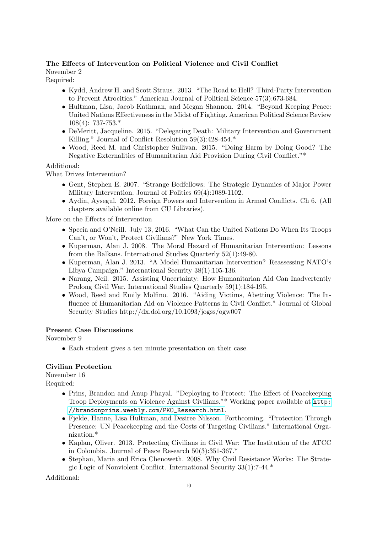# The Effects of Intervention on Political Violence and Civil Conflict

November 2

Required:

- Kydd, Andrew H. and Scott Straus. 2013. "The Road to Hell? Third-Party Intervention to Prevent Atrocities." American Journal of Political Science 57(3):673-684.
- Hultman, Lisa, Jacob Kathman, and Megan Shannon. 2014. "Beyond Keeping Peace: United Nations Effectiveness in the Midst of Fighting. American Political Science Review 108(4): 737-753.\*
- DeMeritt, Jacqueline. 2015. "Delegating Death: Military Intervention and Government Killing." Journal of Conflict Resolution 59(3):428-454.\*
- Wood, Reed M. and Christopher Sullivan. 2015. "Doing Harm by Doing Good? The Negative Externalities of Humanitarian Aid Provision During Civil Conflict."\*

## Additional:

What Drives Intervention?

- Gent, Stephen E. 2007. "Strange Bedfellows: The Strategic Dynamics of Major Power Military Intervention. Journal of Politics 69(4):1089-1102.
- Aydin, Aysegul. 2012. Foreign Powers and Intervention in Armed Conflicts. Ch 6. (All chapters available online from CU Libraries).

More on the Effects of Intervention

- Specia and O'Neill. July 13, 2016. "What Can the United Nations Do When Its Troops Can't, or Won't, Protect Civilians?" New York Times.
- Kuperman, Alan J. 2008. The Moral Hazard of Humanitarian Intervention: Lessons from the Balkans. International Studies Quarterly 52(1):49-80.
- Kuperman, Alan J. 2013. "A Model Humanitarian Intervention? Reassessing NATO's Libya Campaign." International Security 38(1):105-136.
- Narang, Neil. 2015. Assisting Uncertainty: How Humanitarian Aid Can Inadvertently Prolong Civil War. International Studies Quarterly 59(1):184-195.
- Wood, Reed and Emily Molfino. 2016. "Aiding Victims, Abetting Violence: The Influence of Humanitarian Aid on Violence Patterns in Civil Conflict." Journal of Global Security Studies http://dx.doi.org/10.1093/jogss/ogw007

## Present Case Discussions

November 9

• Each student gives a ten minute presentation on their case.

## Civilian Protection

November 16 Required:

- Prins, Brandon and Anup Phayal. "Deploying to Protect: The Effect of Peacekeeping Troop Deployments on Violence Against Civilians."\* Working paper available at [http:](http://brandonprins.weebly.com/PKO_Research.html) [//brandonprins.weebly.com/PKO\\_Research.html](http://brandonprins.weebly.com/PKO_Research.html).
- Fjelde, Hanne, Lisa Hultman, and Desiree Nilsson. Forthcoming. "Protection Through Presence: UN Peacekeeping and the Costs of Targeting Civilians." International Organization.\*
- Kaplan, Oliver. 2013. Protecting Civilians in Civil War: The Institution of the ATCC in Colombia. Journal of Peace Research 50(3):351-367.\*
- Stephan, Maria and Erica Chenoweth. 2008. Why Civil Resistance Works: The Strategic Logic of Nonviolent Conflict. International Security 33(1):7-44.\*

Additional: